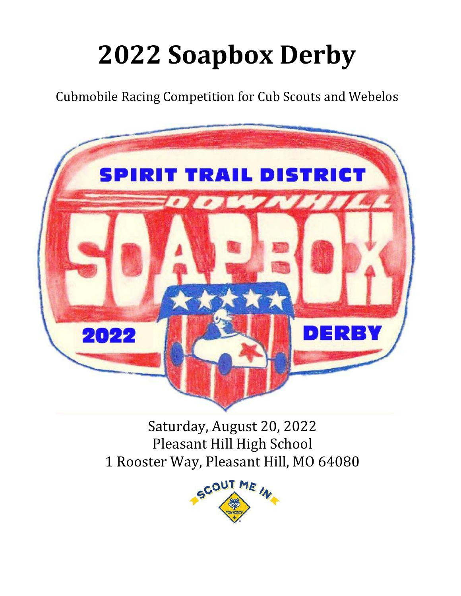# **2022 Soapbox Derby**

Cubmobile Racing Competition for Cub Scouts and Webelos



Saturday, August 20, 2022 Pleasant Hill High School 1 Rooster Way, Pleasant Hill, MO 64080

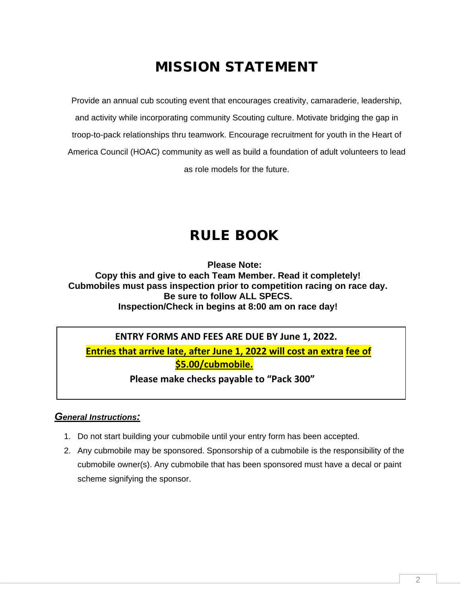# MISSION STATEMENT

Provide an annual cub scouting event that encourages creativity, camaraderie, leadership, and activity while incorporating community Scouting culture. Motivate bridging the gap in troop-to-pack relationships thru teamwork. Encourage recruitment for youth in the Heart of America Council (HOAC) community as well as build a foundation of adult volunteers to lead as role models for the future.

# RULE BOOK

**Please Note:**

**Copy this and give to each Team Member. Read it completely! Cubmobiles must pass inspection prior to competition racing on race day. Be sure to follow ALL SPECS. Inspection/Check in begins at 8:00 am on race day!**

# **ENTRY FORMS AND FEES ARE DUE BY June 1, 2022.**

 **Entries that arrive late, after June 1, 2022 will cost an extra fee of \$5.00/cubmobile.**

**Please make checks payable to "Pack 300"**

# *General Instructions:*

- 1. Do not start building your cubmobile until your entry form has been accepted.
- 2. Any cubmobile may be sponsored. Sponsorship of a cubmobile is the responsibility of the cubmobile owner(s). Any cubmobile that has been sponsored must have a decal or paint scheme signifying the sponsor.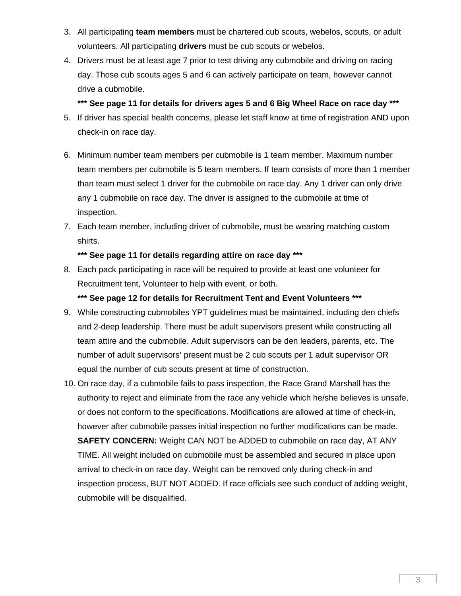- 3. All participating **team members** must be chartered cub scouts, webelos, scouts, or adult volunteers. All participating **drivers** must be cub scouts or webelos.
- 4. Drivers must be at least age 7 prior to test driving any cubmobile and driving on racing day. Those cub scouts ages 5 and 6 can actively participate on team, however cannot drive a cubmobile.

## **\*\*\* See page 11 for details for drivers ages 5 and 6 Big Wheel Race on race day \*\*\***

- 5. If driver has special health concerns, please let staff know at time of registration AND upon check-in on race day.
- 6. Minimum number team members per cubmobile is 1 team member. Maximum number team members per cubmobile is 5 team members. If team consists of more than 1 member than team must select 1 driver for the cubmobile on race day. Any 1 driver can only drive any 1 cubmobile on race day. The driver is assigned to the cubmobile at time of inspection.
- 7. Each team member, including driver of cubmobile, must be wearing matching custom shirts.

## **\*\*\* See page 11 for details regarding attire on race day \*\*\***

8. Each pack participating in race will be required to provide at least one volunteer for Recruitment tent, Volunteer to help with event, or both.

### **\*\*\* See page 12 for details for Recruitment Tent and Event Volunteers \*\*\***

- 9. While constructing cubmobiles YPT guidelines must be maintained, including den chiefs and 2-deep leadership. There must be adult supervisors present while constructing all team attire and the cubmobile. Adult supervisors can be den leaders, parents, etc. The number of adult supervisors' present must be 2 cub scouts per 1 adult supervisor OR equal the number of cub scouts present at time of construction.
- 10. On race day, if a cubmobile fails to pass inspection, the Race Grand Marshall has the authority to reject and eliminate from the race any vehicle which he/she believes is unsafe, or does not conform to the specifications. Modifications are allowed at time of check-in, however after cubmobile passes initial inspection no further modifications can be made. **SAFETY CONCERN:** Weight CAN NOT be ADDED to cubmobile on race day, AT ANY TIME. All weight included on cubmobile must be assembled and secured in place upon arrival to check-in on race day. Weight can be removed only during check-in and inspection process, BUT NOT ADDED. If race officials see such conduct of adding weight, cubmobile will be disqualified.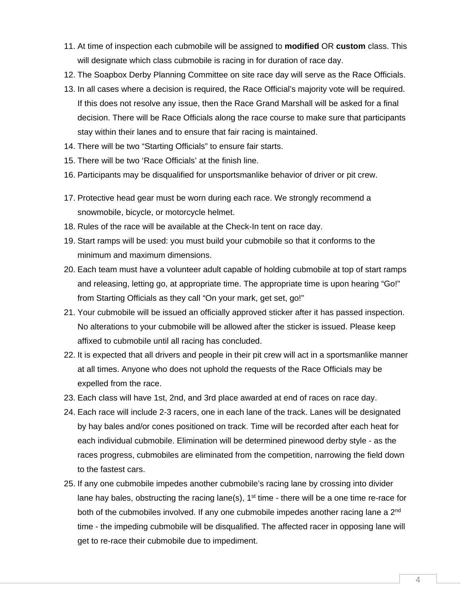- 11. At time of inspection each cubmobile will be assigned to **modified** OR **custom** class. This will designate which class cubmobile is racing in for duration of race day.
- 12. The Soapbox Derby Planning Committee on site race day will serve as the Race Officials.
- 13. In all cases where a decision is required, the Race Official's majority vote will be required. If this does not resolve any issue, then the Race Grand Marshall will be asked for a final decision. There will be Race Officials along the race course to make sure that participants stay within their lanes and to ensure that fair racing is maintained.
- 14. There will be two "Starting Officials" to ensure fair starts.
- 15. There will be two 'Race Officials' at the finish line.
- 16. Participants may be disqualified for unsportsmanlike behavior of driver or pit crew.
- 17. Protective head gear must be worn during each race. We strongly recommend a snowmobile, bicycle, or motorcycle helmet.
- 18. Rules of the race will be available at the Check-In tent on race day.
- 19. Start ramps will be used: you must build your cubmobile so that it conforms to the minimum and maximum dimensions.
- 20. Each team must have a volunteer adult capable of holding cubmobile at top of start ramps and releasing, letting go, at appropriate time. The appropriate time is upon hearing "Go!" from Starting Officials as they call "On your mark, get set, go!"
- 21. Your cubmobile will be issued an officially approved sticker after it has passed inspection. No alterations to your cubmobile will be allowed after the sticker is issued. Please keep affixed to cubmobile until all racing has concluded.
- 22. It is expected that all drivers and people in their pit crew will act in a sportsmanlike manner at all times. Anyone who does not uphold the requests of the Race Officials may be expelled from the race.
- 23. Each class will have 1st, 2nd, and 3rd place awarded at end of races on race day.
- 24. Each race will include 2-3 racers, one in each lane of the track. Lanes will be designated by hay bales and/or cones positioned on track. Time will be recorded after each heat for each individual cubmobile. Elimination will be determined pinewood derby style - as the races progress, cubmobiles are eliminated from the competition, narrowing the field down to the fastest cars.
- 25. If any one cubmobile impedes another cubmobile's racing lane by crossing into divider lane hay bales, obstructing the racing lane(s),  $1<sup>st</sup>$  time - there will be a one time re-race for both of the cubmobiles involved. If any one cubmobile impedes another racing lane a 2<sup>nd</sup> time - the impeding cubmobile will be disqualified. The affected racer in opposing lane will get to re-race their cubmobile due to impediment.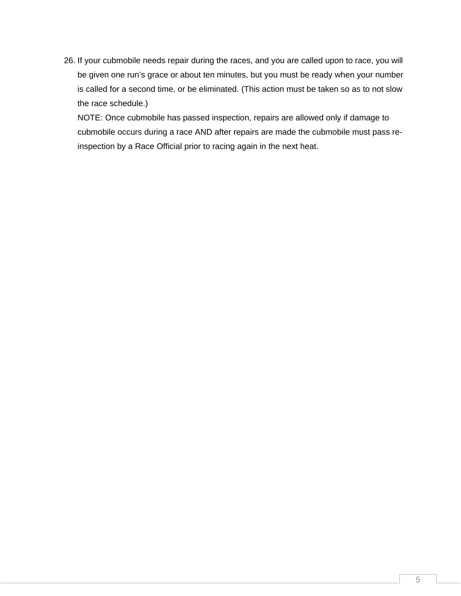26. If your cubmobile needs repair during the races, and you are called upon to race, you will be given one run's grace or about ten minutes, but you must be ready when your number is called for a second time, or be eliminated. (This action must be taken so as to not slow the race schedule.)

NOTE: Once cubmobile has passed inspection, repairs are allowed only if damage to cubmobile occurs during a race AND after repairs are made the cubmobile must pass reinspection by a Race Official prior to racing again in the next heat.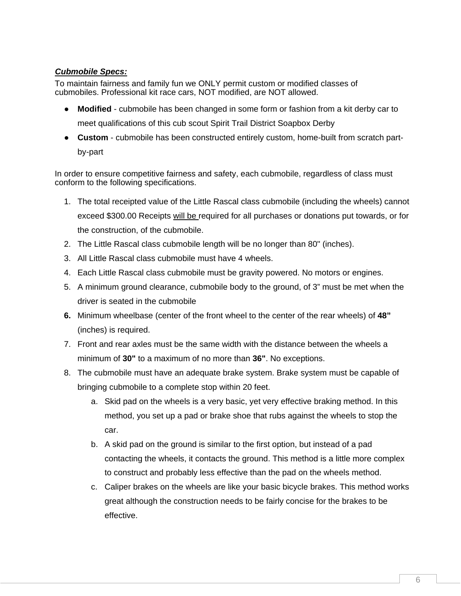# *Cubmobile Specs:*

To maintain fairness and family fun we ONLY permit custom or modified classes of cubmobiles. Professional kit race cars, NOT modified, are NOT allowed.

- **Modified** cubmobile has been changed in some form or fashion from a kit derby car to meet qualifications of this cub scout Spirit Trail District Soapbox Derby
- **Custom**  cubmobile has been constructed entirely custom, home-built from scratch partby-part

In order to ensure competitive fairness and safety, each cubmobile, regardless of class must conform to the following specifications.

- 1. The total receipted value of the Little Rascal class cubmobile (including the wheels) cannot exceed \$300.00 Receipts will be required for all purchases or donations put towards, or for the construction, of the cubmobile.
- 2. The Little Rascal class cubmobile length will be no longer than 80" (inches).
- 3. All Little Rascal class cubmobile must have 4 wheels.
- 4. Each Little Rascal class cubmobile must be gravity powered. No motors or engines.
- 5. A minimum ground clearance, cubmobile body to the ground, of 3" must be met when the driver is seated in the cubmobile
- **6.** Minimum wheelbase (center of the front wheel to the center of the rear wheels) of **48"** (inches) is required.
- 7. Front and rear axles must be the same width with the distance between the wheels a minimum of **30"** to a maximum of no more than **36"**. No exceptions.
- 8. The cubmobile must have an adequate brake system. Brake system must be capable of bringing cubmobile to a complete stop within 20 feet.
	- a. Skid pad on the wheels is a very basic, yet very effective braking method. In this method, you set up a pad or brake shoe that rubs against the wheels to stop the car.
	- b. A skid pad on the ground is similar to the first option, but instead of a pad contacting the wheels, it contacts the ground. This method is a little more complex to construct and probably less effective than the pad on the wheels method.
	- c. Caliper brakes on the wheels are like your basic bicycle brakes. This method works great although the construction needs to be fairly concise for the brakes to be effective.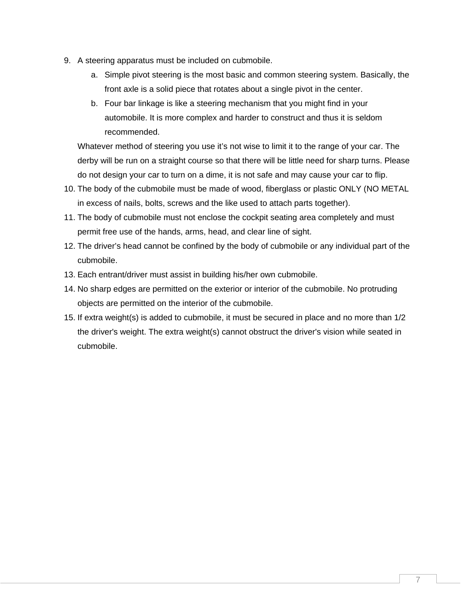- 9. A steering apparatus must be included on cubmobile.
	- a. Simple pivot steering is the most basic and common steering system. Basically, the front axle is a solid piece that rotates about a single pivot in the center.
	- b. Four bar linkage is like a steering mechanism that you might find in your automobile. It is more complex and harder to construct and thus it is seldom recommended.

Whatever method of steering you use it's not wise to limit it to the range of your car. The derby will be run on a straight course so that there will be little need for sharp turns. Please do not design your car to turn on a dime, it is not safe and may cause your car to flip.

- 10. The body of the cubmobile must be made of wood, fiberglass or plastic ONLY (NO METAL in excess of nails, bolts, screws and the like used to attach parts together).
- 11. The body of cubmobile must not enclose the cockpit seating area completely and must permit free use of the hands, arms, head, and clear line of sight.
- 12. The driver's head cannot be confined by the body of cubmobile or any individual part of the cubmobile.
- 13. Each entrant/driver must assist in building his/her own cubmobile.
- 14. No sharp edges are permitted on the exterior or interior of the cubmobile. No protruding objects are permitted on the interior of the cubmobile.
- 15. If extra weight(s) is added to cubmobile, it must be secured in place and no more than 1/2 the driver's weight. The extra weight(s) cannot obstruct the driver's vision while seated in cubmobile.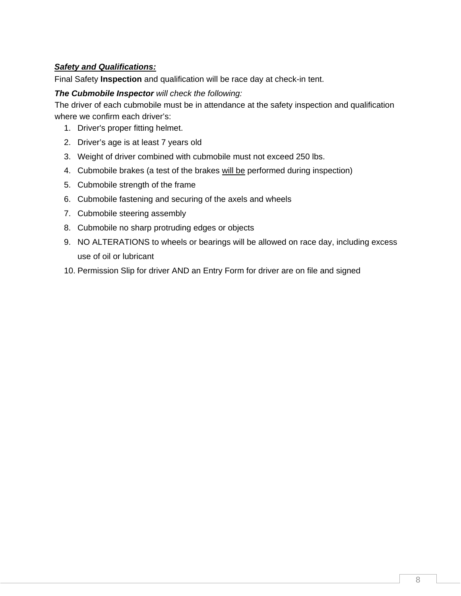# *Safety and Qualifications:*

Final Safety **Inspection** and qualification will be race day at check-in tent.

## *The Cubmobile Inspector will check the following:*

The driver of each cubmobile must be in attendance at the safety inspection and qualification where we confirm each driver's:

- 1. Driver's proper fitting helmet.
- 2. Driver's age is at least 7 years old
- 3. Weight of driver combined with cubmobile must not exceed 250 lbs.
- 4. Cubmobile brakes (a test of the brakes will be performed during inspection)
- 5. Cubmobile strength of the frame
- 6. Cubmobile fastening and securing of the axels and wheels
- 7. Cubmobile steering assembly
- 8. Cubmobile no sharp protruding edges or objects
- 9. NO ALTERATIONS to wheels or bearings will be allowed on race day, including excess use of oil or lubricant
- 10. Permission Slip for driver AND an Entry Form for driver are on file and signed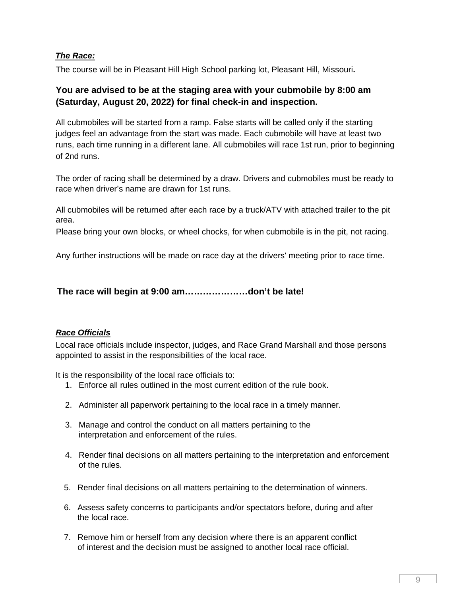# *The Race:*

The course will be in Pleasant Hill High School parking lot, Pleasant Hill, Missouri**.**

# **You are advised to be at the staging area with your cubmobile by 8:00 am (Saturday, August 20, 2022) for final check-in and inspection.**

All cubmobiles will be started from a ramp. False starts will be called only if the starting judges feel an advantage from the start was made. Each cubmobile will have at least two runs, each time running in a different lane. All cubmobiles will race 1st run, prior to beginning of 2nd runs.

The order of racing shall be determined by a draw. Drivers and cubmobiles must be ready to race when driver's name are drawn for 1st runs.

All cubmobiles will be returned after each race by a truck/ATV with attached trailer to the pit area.

Please bring your own blocks, or wheel chocks, for when cubmobile is in the pit, not racing.

Any further instructions will be made on race day at the drivers' meeting prior to race time.

**The race will begin at 9:00 am…………………don't be late!**

# *Race Officials*

Local race officials include inspector, judges, and Race Grand Marshall and those persons appointed to assist in the responsibilities of the local race.

It is the responsibility of the local race officials to:

- 1. Enforce all rules outlined in the most current edition of the rule book.
- 2. Administer all paperwork pertaining to the local race in a timely manner.
- 3. Manage and control the conduct on all matters pertaining to the interpretation and enforcement of the rules.
- 4. Render final decisions on all matters pertaining to the interpretation and enforcement of the rules.
- 5. Render final decisions on all matters pertaining to the determination of winners.
- 6. Assess safety concerns to participants and/or spectators before, during and after the local race.
- 7. Remove him or herself from any decision where there is an apparent conflict of interest and the decision must be assigned to another local race official.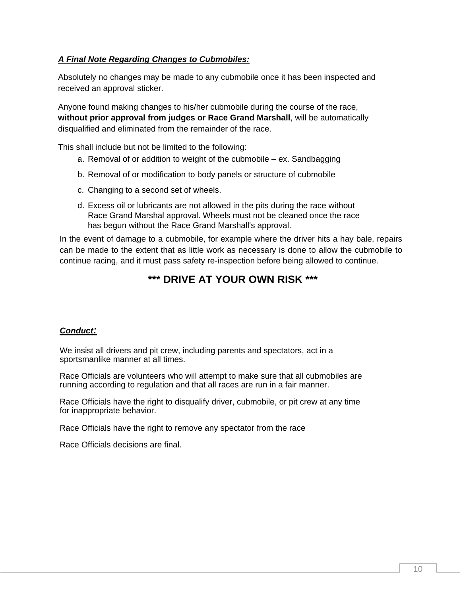# *A Final Note Regarding Changes to Cubmobiles:*

Absolutely no changes may be made to any cubmobile once it has been inspected and received an approval sticker.

Anyone found making changes to his/her cubmobile during the course of the race, **without prior approval from judges or Race Grand Marshall**, will be automatically disqualified and eliminated from the remainder of the race.

This shall include but not be limited to the following:

- a. Removal of or addition to weight of the cubmobile ex. Sandbagging
- b. Removal of or modification to body panels or structure of cubmobile
- c. Changing to a second set of wheels.
- d. Excess oil or lubricants are not allowed in the pits during the race without Race Grand Marshal approval. Wheels must not be cleaned once the race has begun without the Race Grand Marshall's approval.

In the event of damage to a cubmobile, for example where the driver hits a hay bale, repairs can be made to the extent that as little work as necessary is done to allow the cubmobile to continue racing, and it must pass safety re-inspection before being allowed to continue.

# **\*\*\* DRIVE AT YOUR OWN RISK \*\*\***

### *Conduct:*

We insist all drivers and pit crew, including parents and spectators, act in a sportsmanlike manner at all times.

Race Officials are volunteers who will attempt to make sure that all cubmobiles are running according to regulation and that all races are run in a fair manner.

Race Officials have the right to disqualify driver, cubmobile, or pit crew at any time for inappropriate behavior.

Race Officials have the right to remove any spectator from the race

Race Officials decisions are final.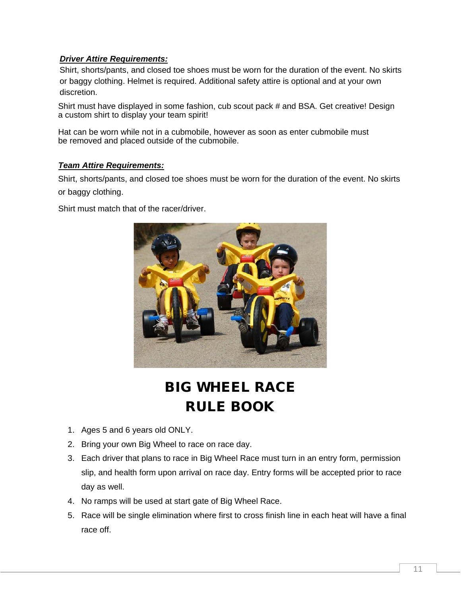# *Driver Attire Requirements:*

Shirt, shorts/pants, and closed toe shoes must be worn for the duration of the event. No skirts or baggy clothing. Helmet is required. Additional safety attire is optional and at your own discretion.

Shirt must have displayed in some fashion, cub scout pack # and BSA. Get creative! Design a custom shirt to display your team spirit!

Hat can be worn while not in a cubmobile, however as soon as enter cubmobile must be removed and placed outside of the cubmobile.

#### *Team Attire Requirements:*

Shirt, shorts/pants, and closed toe shoes must be worn for the duration of the event. No skirts or baggy clothing.

Shirt must match that of the racer/driver.



# BIG WHEEL RACE RULE BOOK

- 1. Ages 5 and 6 years old ONLY.
- 2. Bring your own Big Wheel to race on race day.
- 3. Each driver that plans to race in Big Wheel Race must turn in an entry form, permission slip, and health form upon arrival on race day. Entry forms will be accepted prior to race day as well.
- 4. No ramps will be used at start gate of Big Wheel Race.
- 5. Race will be single elimination where first to cross finish line in each heat will have a final race off.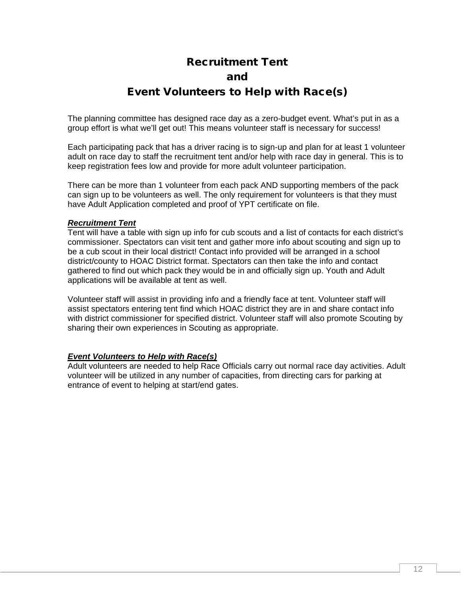# Recruitment Tent

# and

# Event Volunteers to Help with Race(s)

The planning committee has designed race day as a zero-budget event. What's put in as a group effort is what we'll get out! This means volunteer staff is necessary for success!

Each participating pack that has a driver racing is to sign-up and plan for at least 1 volunteer adult on race day to staff the recruitment tent and/or help with race day in general. This is to keep registration fees low and provide for more adult volunteer participation.

There can be more than 1 volunteer from each pack AND supporting members of the pack can sign up to be volunteers as well. The only requirement for volunteers is that they must have Adult Application completed and proof of YPT certificate on file.

### *Recruitment Tent*

Tent will have a table with sign up info for cub scouts and a list of contacts for each district's commissioner. Spectators can visit tent and gather more info about scouting and sign up to be a cub scout in their local district! Contact info provided will be arranged in a school district/county to HOAC District format. Spectators can then take the info and contact gathered to find out which pack they would be in and officially sign up. Youth and Adult applications will be available at tent as well.

Volunteer staff will assist in providing info and a friendly face at tent. Volunteer staff will assist spectators entering tent find which HOAC district they are in and share contact info with district commissioner for specified district. Volunteer staff will also promote Scouting by sharing their own experiences in Scouting as appropriate.

### *Event Volunteers to Help with Race(s)*

Adult volunteers are needed to help Race Officials carry out normal race day activities. Adult volunteer will be utilized in any number of capacities, from directing cars for parking at entrance of event to helping at start/end gates.